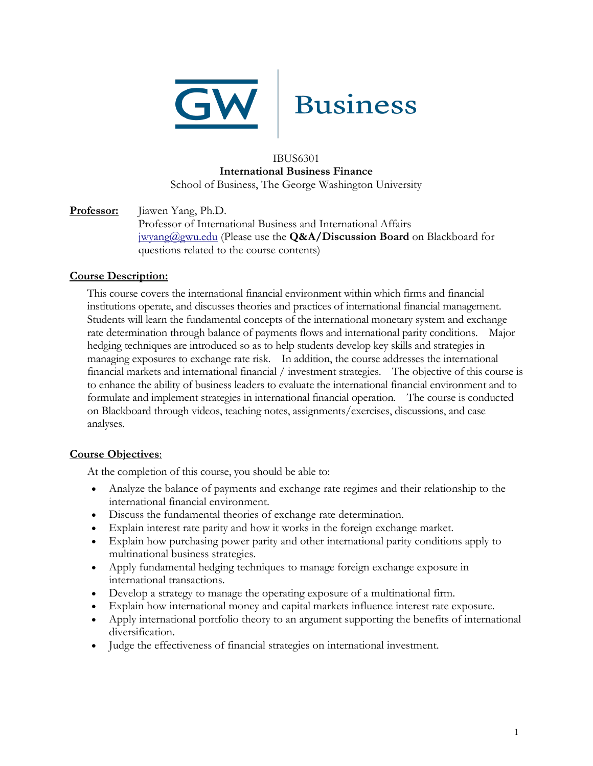

#### IBUS6301 **International Business Finance** School of Business, The George Washington University

# **Professor:** Jiawen Yang, Ph.D. Professor of International Business and International Affairs [jwyang@gwu.edu](mailto:jwyang@gwu.edu) (Please use the **Q&A/Discussion Board** on Blackboard for questions related to the course contents)

## **Course Description:**

This course covers the international financial environment within which firms and financial institutions operate, and discusses theories and practices of international financial management. Students will learn the fundamental concepts of the international monetary system and exchange rate determination through balance of payments flows and international parity conditions. Major hedging techniques are introduced so as to help students develop key skills and strategies in managing exposures to exchange rate risk. In addition, the course addresses the international financial markets and international financial / investment strategies. The objective of this course is to enhance the ability of business leaders to evaluate the international financial environment and to formulate and implement strategies in international financial operation. The course is conducted on Blackboard through videos, teaching notes, assignments/exercises, discussions, and case analyses.

#### **Course Objectives**:

At the completion of this course, you should be able to:

- Analyze the balance of payments and exchange rate regimes and their relationship to the international financial environment.
- Discuss the fundamental theories of exchange rate determination.
- Explain interest rate parity and how it works in the foreign exchange market.
- Explain how purchasing power parity and other international parity conditions apply to multinational business strategies.
- Apply fundamental hedging techniques to manage foreign exchange exposure in international transactions.
- Develop a strategy to manage the operating exposure of a multinational firm.
- Explain how international money and capital markets influence interest rate exposure.
- Apply international portfolio theory to an argument supporting the benefits of international diversification.
- Judge the effectiveness of financial strategies on international investment.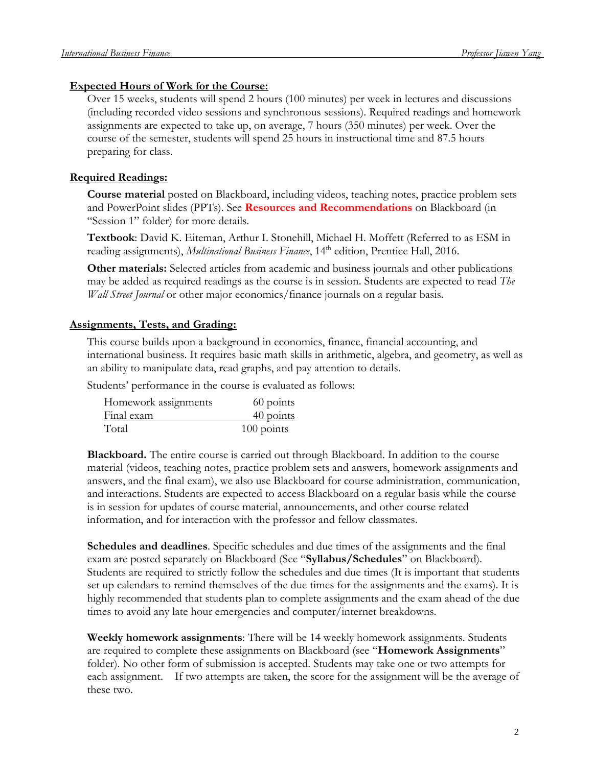#### **Expected Hours of Work for the Course:**

Over 15 weeks, students will spend 2 hours (100 minutes) per week in lectures and discussions (including recorded video sessions and synchronous sessions). Required readings and homework assignments are expected to take up, on average, 7 hours (350 minutes) per week. Over the course of the semester, students will spend 25 hours in instructional time and 87.5 hours preparing for class.

#### **Required Readings:**

**Course material** posted on Blackboard, including videos, teaching notes, practice problem sets and PowerPoint slides (PPTs). See **Resources and Recommendations** on Blackboard (in "Session 1" folder) for more details.

**Textbook**: David K. Eiteman, Arthur I. Stonehill, Michael H. Moffett (Referred to as ESM in reading assignments), *Multinational Business Finance*, 14<sup>th</sup> edition, Prentice Hall, 2016.

**Other materials:** Selected articles from academic and business journals and other publications may be added as required readings as the course is in session. Students are expected to read *The Wall Street Journal* or other major economics/finance journals on a regular basis.

#### **Assignments, Tests, and Grading:**

This course builds upon a background in economics, finance, financial accounting, and international business. It requires basic math skills in arithmetic, algebra, and geometry, as well as an ability to manipulate data, read graphs, and pay attention to details.

Students' performance in the course is evaluated as follows:

| Homework assignments | 60 points    |
|----------------------|--------------|
| Final exam           | 40 points    |
| Total                | $100$ points |

**Blackboard.** The entire course is carried out through Blackboard. In addition to the course material (videos, teaching notes, practice problem sets and answers, homework assignments and answers, and the final exam), we also use Blackboard for course administration, communication, and interactions. Students are expected to access Blackboard on a regular basis while the course is in session for updates of course material, announcements, and other course related information, and for interaction with the professor and fellow classmates.

**Schedules and deadlines**. Specific schedules and due times of the assignments and the final exam are posted separately on Blackboard (See "**Syllabus/Schedules**" on Blackboard). Students are required to strictly follow the schedules and due times (It is important that students set up calendars to remind themselves of the due times for the assignments and the exams). It is highly recommended that students plan to complete assignments and the exam ahead of the due times to avoid any late hour emergencies and computer/internet breakdowns.

**Weekly homework assignments**: There will be 14 weekly homework assignments. Students are required to complete these assignments on Blackboard (see "**Homework Assignments**" folder). No other form of submission is accepted. Students may take one or two attempts for each assignment. If two attempts are taken, the score for the assignment will be the average of these two.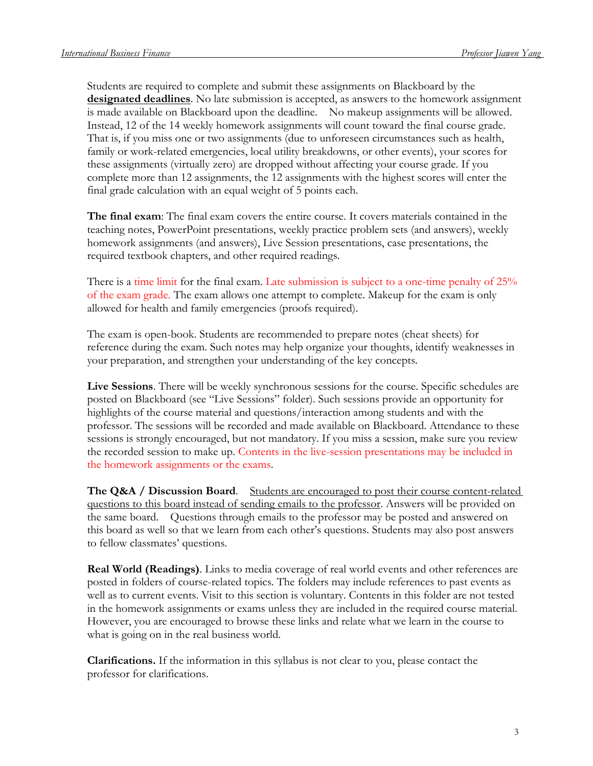Students are required to complete and submit these assignments on Blackboard by the **designated deadlines**. No late submission is accepted, as answers to the homework assignment is made available on Blackboard upon the deadline. No makeup assignments will be allowed. Instead, 12 of the 14 weekly homework assignments will count toward the final course grade. That is, if you miss one or two assignments (due to unforeseen circumstances such as health, family or work-related emergencies, local utility breakdowns, or other events), your scores for these assignments (virtually zero) are dropped without affecting your course grade. If you complete more than 12 assignments, the 12 assignments with the highest scores will enter the final grade calculation with an equal weight of 5 points each.

**The final exam**: The final exam covers the entire course. It covers materials contained in the teaching notes, PowerPoint presentations, weekly practice problem sets (and answers), weekly homework assignments (and answers), Live Session presentations, case presentations, the required textbook chapters, and other required readings.

There is a time limit for the final exam. Late submission is subject to a one-time penalty of 25% of the exam grade. The exam allows one attempt to complete. Makeup for the exam is only allowed for health and family emergencies (proofs required).

The exam is open-book. Students are recommended to prepare notes (cheat sheets) for reference during the exam. Such notes may help organize your thoughts, identify weaknesses in your preparation, and strengthen your understanding of the key concepts.

**Live Sessions**. There will be weekly synchronous sessions for the course. Specific schedules are posted on Blackboard (see "Live Sessions" folder). Such sessions provide an opportunity for highlights of the course material and questions/interaction among students and with the professor. The sessions will be recorded and made available on Blackboard. Attendance to these sessions is strongly encouraged, but not mandatory. If you miss a session, make sure you review the recorded session to make up. Contents in the live-session presentations may be included in the homework assignments or the exams.

**The Q&A / Discussion Board**. Students are encouraged to post their course content-related questions to this board instead of sending emails to the professor. Answers will be provided on the same board. Questions through emails to the professor may be posted and answered on this board as well so that we learn from each other's questions. Students may also post answers to fellow classmates' questions.

**Real World (Readings)**. Links to media coverage of real world events and other references are posted in folders of course-related topics. The folders may include references to past events as well as to current events. Visit to this section is voluntary. Contents in this folder are not tested in the homework assignments or exams unless they are included in the required course material. However, you are encouraged to browse these links and relate what we learn in the course to what is going on in the real business world.

**Clarifications.** If the information in this syllabus is not clear to you, please contact the professor for clarifications.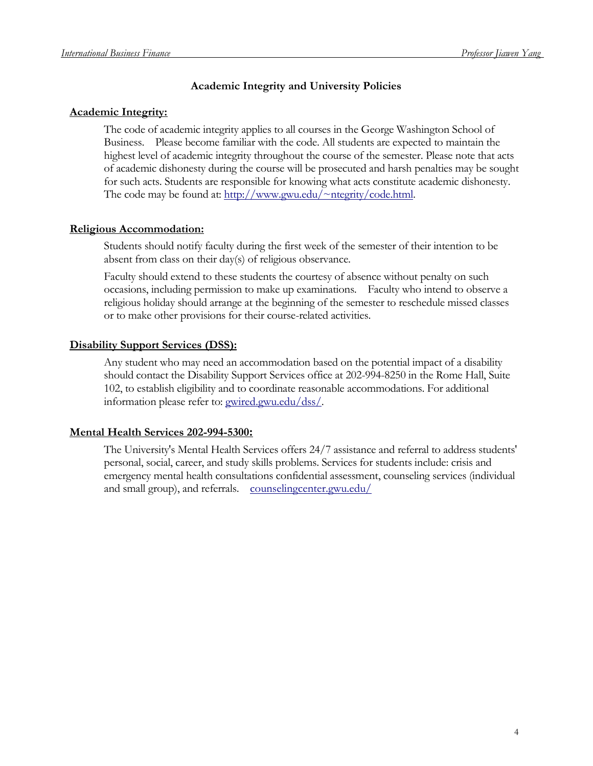# **Academic Integrity and University Policies**

## **Academic Integrity:**

The code of academic integrity applies to all courses in the George Washington School of Business. Please become familiar with the code. All students are expected to maintain the highest level of academic integrity throughout the course of the semester. Please note that acts of academic dishonesty during the course will be prosecuted and harsh penalties may be sought for such acts. Students are responsible for knowing what acts constitute academic dishonesty. The code may be found at: [http://www.gwu.edu/~ntegrity/code.html.](http://www.gwu.edu/~ntegrity/code.html)

# **Religious Accommodation:**

Students should notify faculty during the first week of the semester of their intention to be absent from class on their day(s) of religious observance.

Faculty should extend to these students the courtesy of absence without penalty on such occasions, including permission to make up examinations. Faculty who intend to observe a religious holiday should arrange at the beginning of the semester to reschedule missed classes or to make other provisions for their course-related activities.

# **Disability Support Services (DSS):**

Any student who may need an accommodation based on the potential impact of a disability should contact the Disability Support Services office at 202-994-8250 in the Rome Hall, Suite 102, to establish eligibility and to coordinate reasonable accommodations. For additional information please refer to: gwired.gwu.edu/dss/.

# **Mental Health Services 202-994-5300:**

The University's Mental Health Services offers 24/7 assistance and referral to address students' personal, social, career, and study skills problems. Services for students include: crisis and emergency mental health consultations confidential assessment, counseling services (individual and small group), and referrals. [counselingcenter.gwu.edu/](http://counselingcenter.gwu.edu/)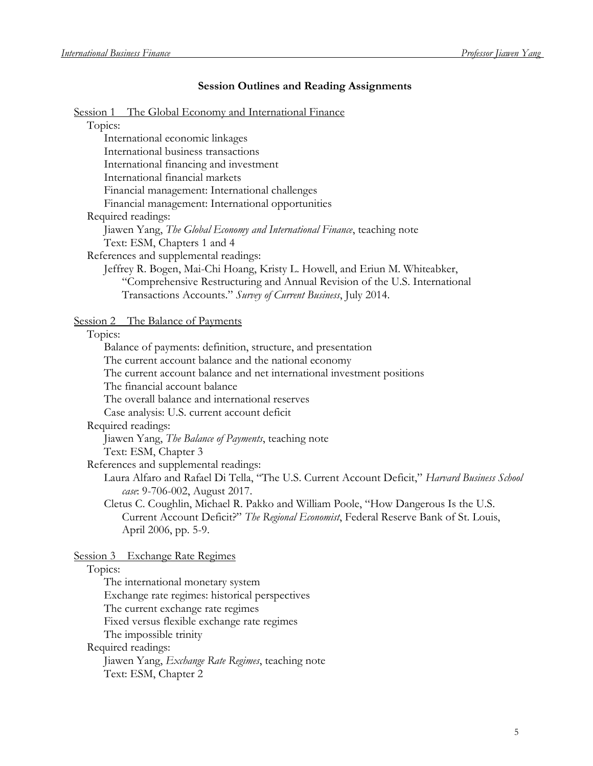## **Session Outlines and Reading Assignments**

# Session 1 The Global Economy and International Fin

| <u>The Global Economy and International Finance</u><br><u>Session 1</u>                                              |
|----------------------------------------------------------------------------------------------------------------------|
| Topics:                                                                                                              |
| International economic linkages                                                                                      |
| International business transactions                                                                                  |
| International financing and investment                                                                               |
| International financial markets                                                                                      |
| Financial management: International challenges                                                                       |
| Financial management: International opportunities                                                                    |
| Required readings:                                                                                                   |
| Jiawen Yang, The Global Economy and International Finance, teaching note                                             |
| Text: ESM, Chapters 1 and 4                                                                                          |
| References and supplemental readings:                                                                                |
| Jeffrey R. Bogen, Mai-Chi Hoang, Kristy L. Howell, and Eriun M. Whiteabker,                                          |
| "Comprehensive Restructuring and Annual Revision of the U.S. International                                           |
| Transactions Accounts." Survey of Current Business, July 2014.                                                       |
|                                                                                                                      |
| Session 2 The Balance of Payments<br>Topics:                                                                         |
|                                                                                                                      |
| Balance of payments: definition, structure, and presentation<br>The current account balance and the national economy |
| The current account balance and net international investment positions                                               |
| The financial account balance                                                                                        |
| The overall balance and international reserves                                                                       |
| Case analysis: U.S. current account deficit                                                                          |
| Required readings:                                                                                                   |
| Jiawen Yang, The Balance of Payments, teaching note                                                                  |
| Text: ESM, Chapter 3                                                                                                 |
| References and supplemental readings:                                                                                |
| Laura Alfaro and Rafael Di Tella, "The U.S. Current Account Deficit," Harvard Business School                        |
| case: 9-706-002, August 2017.                                                                                        |
| Cletus C. Coughlin, Michael R. Pakko and William Poole, "How Dangerous Is the U.S.                                   |
| Current Account Deficit?" The Regional Economist, Federal Reserve Bank of St. Louis,                                 |
| April 2006, pp. 5-9.                                                                                                 |
|                                                                                                                      |
| Session 3 Exchange Rate Regimes                                                                                      |
| Topics:                                                                                                              |
| The international monetary system                                                                                    |
| Exchange rate regimes: historical perspectives                                                                       |
| The current exchange rate regimes                                                                                    |

Fixed versus flexible exchange rate regimes

The impossible trinity

Required readings:

Jiawen Yang, *Exchange Rate Regimes*, teaching note Text: ESM, Chapter 2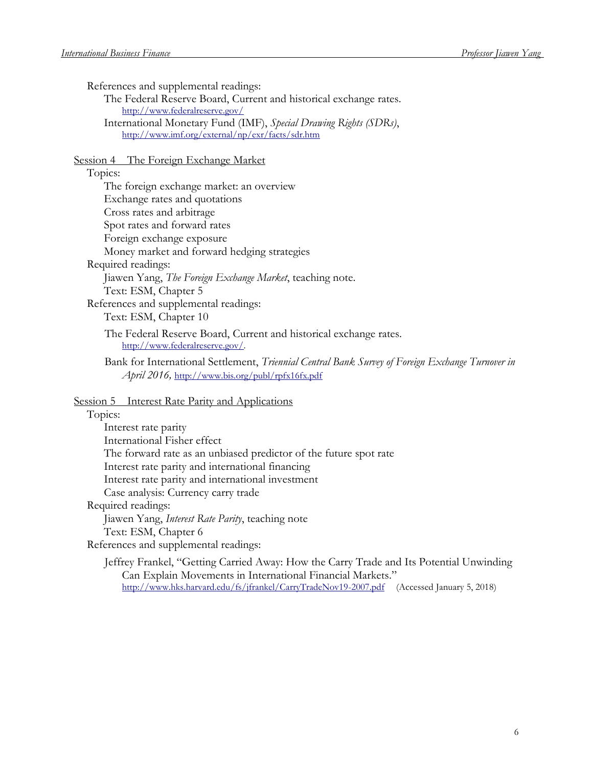References and supplemental readings:

The Federal Reserve Board, Current and historical exchange rates. <http://www.federalreserve.gov/>

International Monetary Fund (IMF), *Special Drawing Rights (SDRs)*, <http://www.imf.org/external/np/exr/facts/sdr.htm>

#### Session 4 The Foreign Exchange Market

# Topics:

| The foreign exchange market: an overview                                                             |
|------------------------------------------------------------------------------------------------------|
| Exchange rates and quotations                                                                        |
| Cross rates and arbitrage                                                                            |
| Spot rates and forward rates                                                                         |
| Foreign exchange exposure                                                                            |
| Money market and forward hedging strategies                                                          |
| Required readings:                                                                                   |
| Jiawen Yang, <i>The Foreign Exchange Market</i> , teaching note.                                     |
| Text: ESM, Chapter 5                                                                                 |
| References and supplemental readings:                                                                |
| Text: ESM, Chapter 10                                                                                |
| The Federal Reserve Board, Current and historical exchange rates.<br>http://www.federalreserve.gov/. |

Bank for International Settlement, *Triennial Central Bank Survey of Foreign Exchange Turnover in April 2016,* <http://www.bis.org/publ/rpfx16fx.pdf>

Session 5 Interest Rate Parity and Applications

#### Topics:

| Interest rate parity                                              |
|-------------------------------------------------------------------|
| International Fisher effect                                       |
| The forward rate as an unbiased predictor of the future spot rate |
| Interest rate parity and international financing                  |
| Interest rate parity and international investment                 |
| Case analysis: Currency carry trade                               |
| Required readings:                                                |
| Jiawen Yang, <i>Interest Rate Parity</i> , teaching note          |
| Text: ESM, Chapter 6                                              |
| References and supplemental readings:                             |

Jeffrey Frankel, "Getting Carried Away: How the Carry Trade and Its Potential Unwinding Can Explain Movements in International Financial Markets." <http://www.hks.harvard.edu/fs/jfrankel/CarryTradeNov19-2007.pdf> (Accessed January 5, 2018)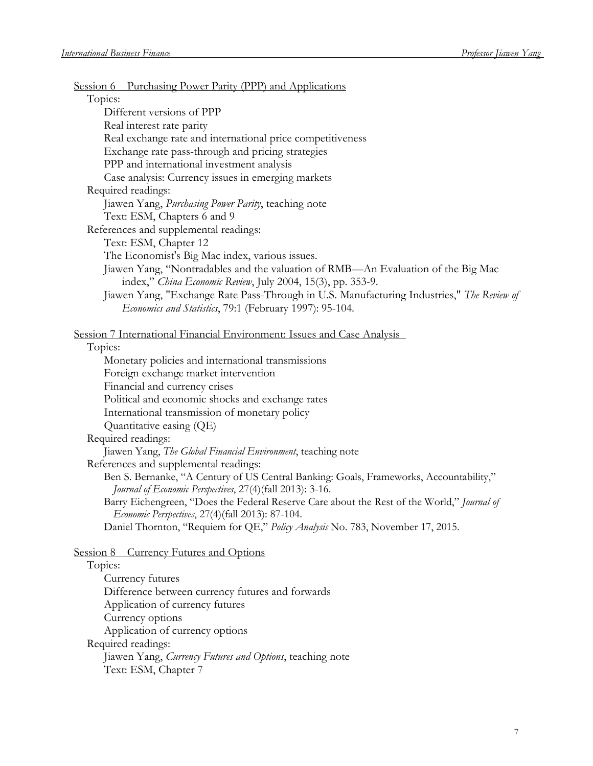| Session 6 Purchasing Power Parity (PPP) and Applications                                   |
|--------------------------------------------------------------------------------------------|
| Topics:                                                                                    |
| Different versions of PPP                                                                  |
| Real interest rate parity                                                                  |
| Real exchange rate and international price competitiveness                                 |
| Exchange rate pass-through and pricing strategies                                          |
| PPP and international investment analysis                                                  |
| Case analysis: Currency issues in emerging markets<br>Required readings:                   |
| Jiawen Yang, Purchasing Power Parity, teaching note                                        |
| Text: ESM, Chapters 6 and 9                                                                |
| References and supplemental readings:                                                      |
| Text: ESM, Chapter 12                                                                      |
| The Economist's Big Mac index, various issues.                                             |
| Jiawen Yang, "Nontradables and the valuation of RMB—An Evaluation of the Big Mac           |
| index," China Economic Review, July 2004, 15(3), pp. 353-9.                                |
| Jiawen Yang, "Exchange Rate Pass-Through in U.S. Manufacturing Industries," The Review of  |
| Economics and Statistics, 79:1 (February 1997): 95-104.                                    |
|                                                                                            |
| Session 7 International Financial Environment: Issues and Case Analysis                    |
| Topics:                                                                                    |
| Monetary policies and international transmissions                                          |
| Foreign exchange market intervention                                                       |
| Financial and currency crises                                                              |
| Political and economic shocks and exchange rates                                           |
| International transmission of monetary policy                                              |
| Quantitative easing (QE)                                                                   |
| Required readings:                                                                         |
| Jiawen Yang, The Global Financial Environment, teaching note                               |
| References and supplemental readings:                                                      |
| Ben S. Bernanke, "A Century of US Central Banking: Goals, Frameworks, Accountability,"     |
| Journal of Economic Perspectives, 27(4)(fall 2013): 3-16.                                  |
| Barry Eichengreen, "Does the Federal Reserve Care about the Rest of the World," Journal of |
| Economic Perspectives, 27(4)(fall 2013): 87-104.                                           |
| Daniel Thornton, "Requiem for QE," Policy Analysis No. 783, November 17, 2015.             |
| <b>Currency Futures and Options</b><br>Session 8                                           |
| Topics:                                                                                    |
| Currency futures                                                                           |
| Difference between currency futures and forwards                                           |
| Application of currency futures                                                            |
| Currency options                                                                           |
| Application of currency options                                                            |

Required readings:

Jiawen Yang, *Currency Futures and Options*, teaching note Text: ESM, Chapter 7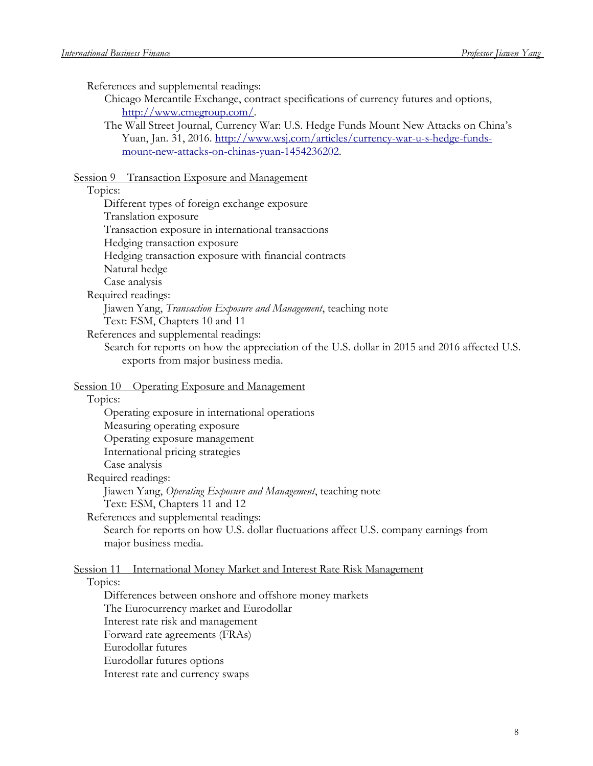References and supplemental readings:

Chicago Mercantile Exchange, contract specifications of currency futures and options, [http://www.cmegroup.com/.](http://www.cmegroup.com/)

The Wall Street Journal, Currency War: U.S. Hedge Funds Mount New Attacks on China's Yuan, Jan. 31, 2016. [http://www.wsj.com/articles/currency-war-u-s-hedge-funds](http://www.wsj.com/articles/currency-war-u-s-hedge-funds-mount-new-attacks-on-chinas-yuan-1454236202)[mount-new-attacks-on-chinas-yuan-1454236202.](http://www.wsj.com/articles/currency-war-u-s-hedge-funds-mount-new-attacks-on-chinas-yuan-1454236202)

#### Session 9 Transaction Exposure and Management

#### Topics:

Different types of foreign exchange exposure Translation exposure Transaction exposure in international transactions Hedging transaction exposure Hedging transaction exposure with financial contracts Natural hedge Case analysis Required readings:

Jiawen Yang, *Transaction Exposure and Management*, teaching note Text: ESM, Chapters 10 and 11

References and supplemental readings:

Search for reports on how the appreciation of the U.S. dollar in 2015 and 2016 affected U.S. exports from major business media.

Session 10 Operating Exposure and Management

#### Topics:

Operating exposure in international operations Measuring operating exposure Operating exposure management International pricing strategies Case analysis Required readings: Jiawen Yang, *Operating Exposure and Management*, teaching note Text: ESM, Chapters 11 and 12 References and supplemental readings:

Search for reports on how U.S. dollar fluctuations affect U.S. company earnings from major business media.

#### Session 11 International Money Market and Interest Rate Risk Management

#### Topics:

Differences between onshore and offshore money markets The Eurocurrency market and Eurodollar Interest rate risk and management Forward rate agreements (FRAs) Eurodollar futures Eurodollar futures options Interest rate and currency swaps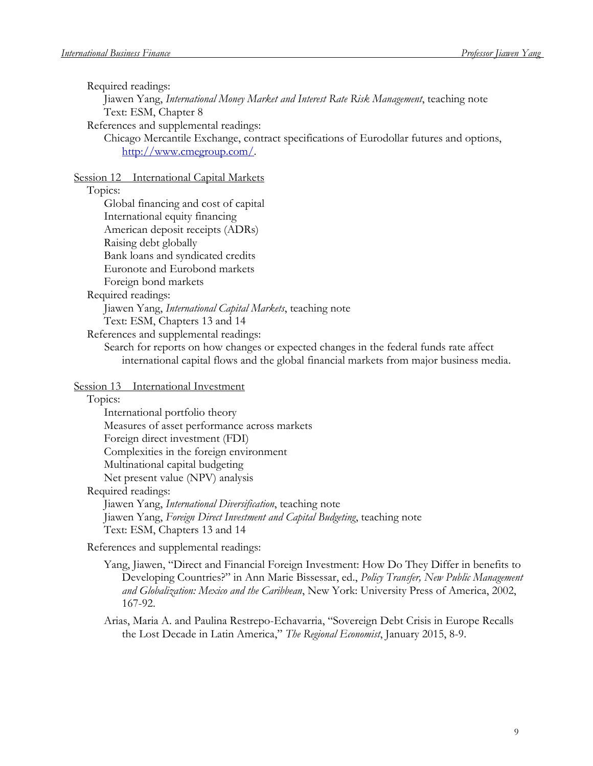Required readings:

Jiawen Yang, *International Money Market and Interest Rate Risk Management*, teaching note Text: ESM, Chapter 8

References and supplemental readings:

Chicago Mercantile Exchange, contract specifications of Eurodollar futures and options, [http://www.cmegroup.com/.](http://www.cmegroup.com/)

Session 12 International Capital Markets

Topics:

References and supplemental readings:

Search for reports on how changes or expected changes in the federal funds rate affect international capital flows and the global financial markets from major business media.

Session 13 International Investment

Topics:

| International portfolio theory               |
|----------------------------------------------|
| Measures of asset performance across markets |
| Foreign direct investment (FDI)              |
| Complexities in the foreign environment      |
| Multinational capital budgeting              |
| Net present value (NPV) analysis             |
| uured readinos.                              |

Required readings:

Jiawen Yang, *International Diversification*, teaching note Jiawen Yang, *Foreign Direct Investment and Capital Budgeting*, teaching note Text: ESM, Chapters 13 and 14

References and supplemental readings:

Yang, Jiawen, "Direct and Financial Foreign Investment: How Do They Differ in benefits to Developing Countries?" in Ann Marie Bissessar, ed., *Policy Transfer, New Public Management and Globalization: Mexico and the Caribbean*, New York: University Press of America, 2002, 167-92.

Arias, Maria A. and Paulina Restrepo-Echavarria, "Sovereign Debt Crisis in Europe Recalls the Lost Decade in Latin America," *The Regional Economist*, January 2015, 8-9.